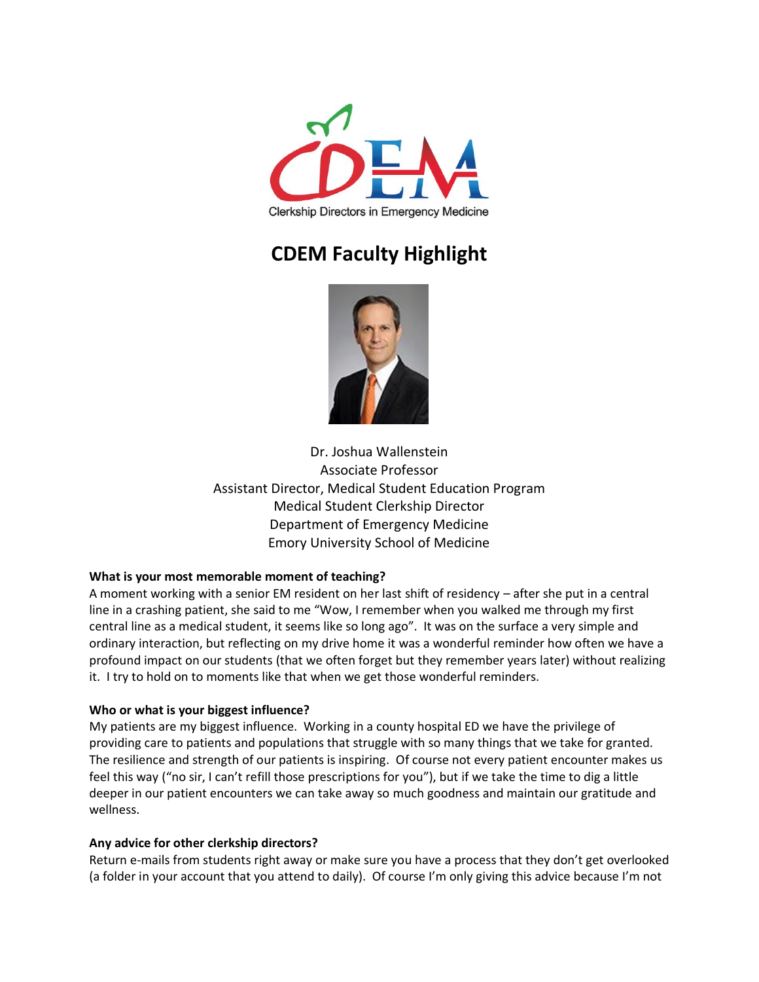

# **CDEM Faculty Highlight**



Dr. Joshua Wallenstein Associate Professor Assistant Director, Medical Student Education Program Medical Student Clerkship Director Department of Emergency Medicine Emory University School of Medicine

## **What is your most memorable moment of teaching?**

A moment working with a senior EM resident on her last shift of residency – after she put in a central line in a crashing patient, she said to me "Wow, I remember when you walked me through my first central line as a medical student, it seems like so long ago". It was on the surface a very simple and ordinary interaction, but reflecting on my drive home it was a wonderful reminder how often we have a profound impact on our students (that we often forget but they remember years later) without realizing it. I try to hold on to moments like that when we get those wonderful reminders.

### **Who or what is your biggest influence?**

My patients are my biggest influence. Working in a county hospital ED we have the privilege of providing care to patients and populations that struggle with so many things that we take for granted. The resilience and strength of our patients is inspiring. Of course not every patient encounter makes us feel this way ("no sir, I can't refill those prescriptions for you"), but if we take the time to dig a little deeper in our patient encounters we can take away so much goodness and maintain our gratitude and wellness.

### **Any advice for other clerkship directors?**

Return e-mails from students right away or make sure you have a process that they don't get overlooked (a folder in your account that you attend to daily). Of course I'm only giving this advice because I'm not